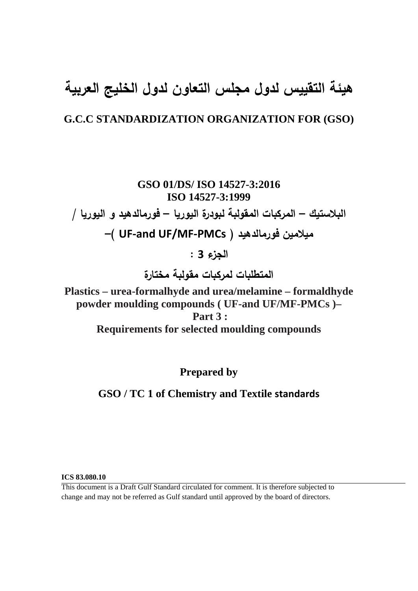# **هيئة التقييس لدول مجلس التعاون لدول الخليج العربية**

## **G.C.C STANDARDIZATION ORGANIZATION FOR (GSO)**

**GSO 01/DS/ ISO 14527-3:2016 ISO 14527-3:1999 البلاستيك – المركبات المقولبة لبودرة اليوريا – فورمالدهيد و اليوريا / –( UF-and UF/MF-PMCs ) فورمالدهيد ميلامين الجزء 3 : المتطلبات لمركبات مقولبة مختارة** 

**Plastics – urea-formalhyde and urea/melamine – formaldhyde powder moulding compounds ( UF-and UF/MF-PMCs )– Part 3 : Requirements for selected moulding compounds** 

**Prepared by** 

**GSO / TC 1 of Chemistry and Textile standards**

**ICS 83.080.10** 

This document is a Draft Gulf Standard circulated for comment. It is therefore subjected to change and may not be referred as Gulf standard until approved by the board of directors.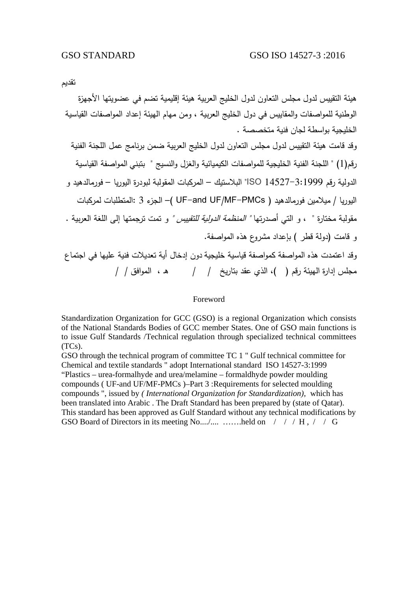تقديم

هيئة التقييس لدول مجلس التعاون لدول الخليج العربية هيئة إقليمية تضم في عضويتها الأجهزة الوطنية للمواصفات والمقاييس في دول الخليج العربية ، ومن مهام الهيئة إعداد المواصفات القياسية الخليجية بواسطة لجان فنية متخصصة . وقد قامت هيئة التقييس لدول مجلس التعاون لدول الخليج العربية ضمن برنامج عمل اللجنة الفنية رقم(1) " اللجنة الفنية الخليجية للمواصفات الكيميائية والغزل والنسيج " بتبني المواصفة القياسية الدولية رقم 14527-3:1999 ISO "البلاستيك – المركبات المقولبة لبودرة اليوريا – فورمالدهيد و اليوريا / ميلامين فورمالدهيد ( PMCs-MF/UF and-UF –( الجزء 3 :المتطلبات لمركبات مقولبة مختارة " ، و التي أصدرتها " المنظمة الدولية للتقييس " و تمت ترجمتها إلى اللغة العربية . و قامت (دولة قطر ) بإعداد مشروع هذه المواصفة. وقد اعتمدت هذه المواصفة كمواصفة قياسية خليجية دون إدخال أية تعديلات فنية عليها في اجتماع مجلس إدارة الهيئة رقم ( )، الذي عقد بتاريخ / / هـ ، الموافق / /

#### Foreword

Standardization Organization for GCC (GSO) is a regional Organization which consists of the National Standards Bodies of GCC member States. One of GSO main functions is to issue Gulf Standards /Technical regulation through specialized technical committees (TCs).

GSO through the technical program of committee TC 1 " Gulf technical committee for Chemical and textile standards " adopt International standard ISO 14527-3:1999 "Plastics – urea-formalhyde and urea/melamine – formaldhyde powder moulding compounds ( UF-and UF/MF-PMCs )–Part 3 :Requirements for selected moulding compounds ", issued by *( International Organization for Standardization),* which has been translated into Arabic . The Draft Standard has been prepared by (state of Qatar). This standard has been approved as Gulf Standard without any technical modifications by GSO Board of Directors in its meeting No..../.... …….held on / / / H, / / G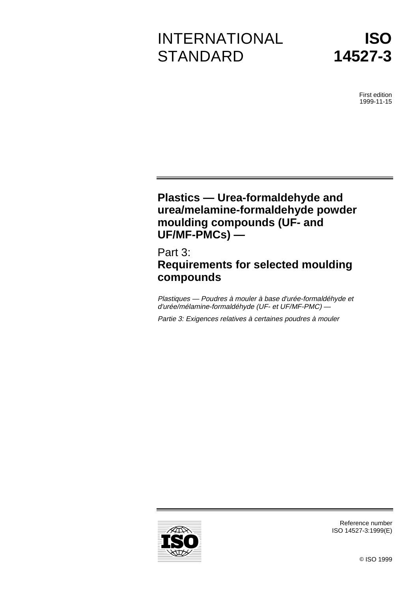# INTERNATIONAL **STANDARD**



First edition 1999-11-15

# **Plastics — Urea-formaldehyde and urea/melamine-formaldehyde powder moulding compounds (UF- and UF/MF-PMCs) —**

# Part 3: **Requirements for selected moulding compounds**

Plastiques — Poudres à mouler à base d'urée-formaldéhyde et d'urée/mélamine-formaldéhyde (UF- et UF/MF-PMC) —

Partie 3: Exigences relatives à certaines poudres à mouler



ISO 14527-3:1999(E)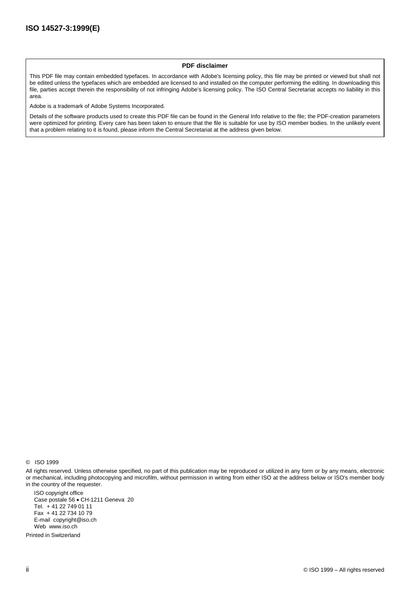#### **PDF disclaimer**

This PDF file may contain embedded typefaces. In accordance with Adobe's licensing policy, this file may be printed or viewed but shall not be edited unless the typefaces which are embedded are licensed to and installed on the computer performing the editing. In downloading this file, parties accept therein the responsibility of not infringing Adobe's licensing policy. The ISO Central Secretariat accepts no liability in this area.

Adobe is a trademark of Adobe Systems Incorporated.

Details of the software products used to create this PDF file can be found in the General Info relative to the file; the PDF-creation parameters were optimized for printing. Every care has been taken to ensure that the file is suitable for use by ISO member bodies. In the unlikely event that a problem relating to it is found, please inform the Central Secretariat at the address given below.

© ISO 1999

All rights reserved. Unless otherwise specified, no part of this publication may be reproduced or utilized in any form or by any means, electronic or mechanical, including photocopying and microfilm, without permission in writing from either ISO at the address below or ISO's member body in the country of the requester.

ISO copyright office Case postale 56 · CH-1211 Geneva 20 Tel. + 41 22 749 01 11 Fax + 41 22 734 10 79 E-mail copyright@iso.ch Web www.iso.ch

Printed in Switzerland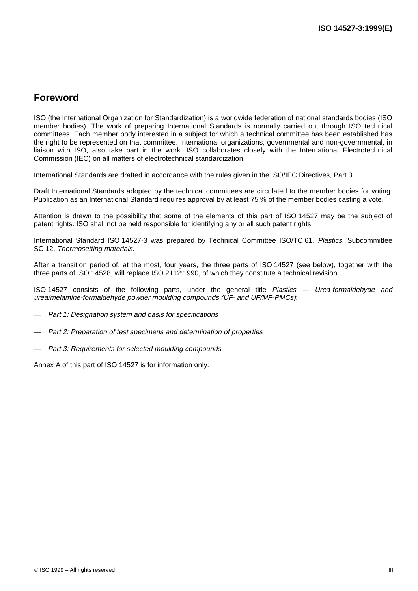## **Foreword**

ISO (the International Organization for Standardization) is a worldwide federation of national standards bodies (ISO member bodies). The work of preparing International Standards is normally carried out through ISO technical committees. Each member body interested in a subject for which a technical committee has been established has the right to be represented on that committee. International organizations, governmental and non-governmental, in liaison with ISO, also take part in the work. ISO collaborates closely with the International Electrotechnical Commission (IEC) on all matters of electrotechnical standardization.

International Standards are drafted in accordance with the rules given in the ISO/IEC Directives, Part 3.

Draft International Standards adopted by the technical committees are circulated to the member bodies for voting. Publication as an International Standard requires approval by at least 75 % of the member bodies casting a vote.

Attention is drawn to the possibility that some of the elements of this part of ISO 14527 may be the subject of patent rights. ISO shall not be held responsible for identifying any or all such patent rights.

International Standard ISO 14527-3 was prepared by Technical Committee ISO/TC 61, Plastics, Subcommittee SC 12, Thermosetting materials.

After a transition period of, at the most, four years, the three parts of ISO 14527 (see below), together with the three parts of ISO 14528, will replace ISO 2112:1990, of which they constitute a technical revision.

ISO 14527 consists of the following parts, under the general title Plastics — Urea-formaldehyde and urea/melamine-formaldehyde powder moulding compounds (UF- and UF/MF-PMCs):

- Part 1: Designation system and basis for specifications
- Part 2: Preparation of test specimens and determination of properties
- Part 3: Requirements for selected moulding compounds

Annex A of this part of ISO 14527 is for information only.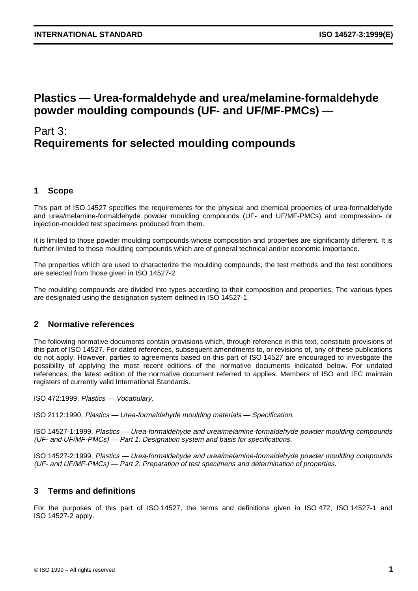## **Plastics — Urea-formaldehyde and urea/melamine-formaldehyde powder moulding compounds (UF- and UF/MF-PMCs) —**

# Part 3: **Requirements for selected moulding compounds**

## **1 Scope**

This part of ISO 14527 specifies the requirements for the physical and chemical properties of urea-formaldehyde and urea/melamine-formaldehyde powder moulding compounds (UF- and UF/MF-PMCs) and compression- or injection-moulded test specimens produced from them.

It is limited to those powder moulding compounds whose composition and properties are significantly different. It is further limited to those moulding compounds which are of general technical and/or economic importance.

The properties which are used to characterize the moulding compounds, the test methods and the test conditions are selected from those given in ISO 14527-2.

The moulding compounds are divided into types according to their composition and properties. The various types are designated using the designation system defined in ISO 14527-1.

## **2 Normative references**

The following normative documents contain provisions which, through reference in this text, constitute provisions of this part of ISO 14527. For dated references, subsequent amendments to, or revisions of, any of these publications do not apply. However, parties to agreements based on this part of ISO 14527 are encouraged to investigate the possibility of applying the most recent editions of the normative documents indicated below. For undated references, the latest edition of the normative document referred to applies. Members of ISO and IEC maintain registers of currently valid International Standards.

ISO 472:1999, Plastics — Vocabulary.

ISO 2112:1990, Plastics — Urea-formaldehyde moulding materials — Specification.

ISO 14527-1:1999, Plastics — Urea-formaldehyde and urea/melamine-formaldehyde powder moulding compounds (UF- and UF/MF-PMCs) — Part 1: Designation system and basis for specifications.

ISO 14527-2:1999, Plastics — Urea-formaldehyde and urea/melamine-formaldehyde powder moulding compounds (UF- and UF/MF-PMCs) — Part 2: Preparation of test specimens and determination of properties.

## **3 Terms and definitions**

For the purposes of this part of ISO 14527, the terms and definitions given in ISO 472, ISO 14527-1 and ISO 14527-2 apply.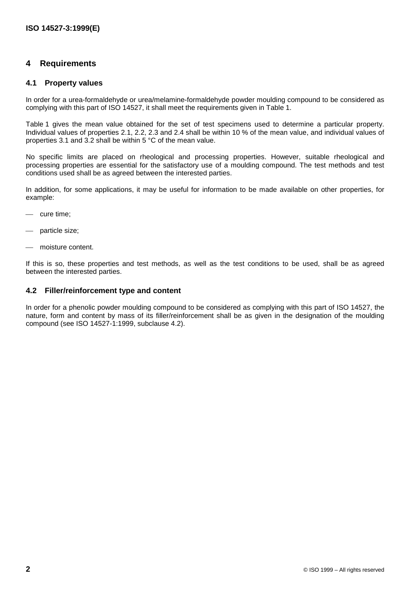### **4 Requirements**

#### **4.1 Property values**

In order for a urea-formaldehyde or urea/melamine-formaldehyde powder moulding compound to be considered as complying with this part of ISO 14527, it shall meet the requirements given in Table 1.

Table 1 gives the mean value obtained for the set of test specimens used to determine a particular property. Individual values of properties 2.1, 2.2, 2.3 and 2.4 shall be within 10 % of the mean value, and individual values of properties 3.1 and 3.2 shall be within 5 °C of the mean value.

No specific limits are placed on rheological and processing properties. However, suitable rheological and processing properties are essential for the satisfactory use of a moulding compound. The test methods and test conditions used shall be as agreed between the interested parties.

In addition, for some applications, it may be useful for information to be made available on other properties, for example:

- cure time;
- particle size;
- moisture content.

If this is so, these properties and test methods, as well as the test conditions to be used, shall be as agreed between the interested parties.

#### **4.2 Filler/reinforcement type and content**

In order for a phenolic powder moulding compound to be considered as complying with this part of ISO 14527, the nature, form and content by mass of its filler/reinforcement shall be as given in the designation of the moulding compound (see ISO 14527-1:1999, subclause 4.2).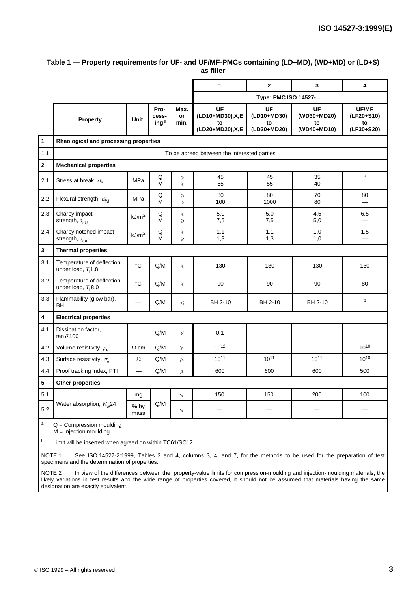|                         |                                                                                                                             |                   |                                   |                       | $\mathbf{1}$                                              | $\overline{2}$                         | $\mathbf{3}$                           | 4                                       |  |
|-------------------------|-----------------------------------------------------------------------------------------------------------------------------|-------------------|-----------------------------------|-----------------------|-----------------------------------------------------------|----------------------------------------|----------------------------------------|-----------------------------------------|--|
|                         |                                                                                                                             |                   |                                   |                       | Type: PMC ISO 14527-.                                     |                                        |                                        |                                         |  |
|                         | <b>Property</b>                                                                                                             | Unit              | Pro-<br>cess-<br>ing <sup>a</sup> | Max.<br>or<br>min.    | <b>UF</b><br>(LD10+MD30), X, E<br>to<br>(LD20+MD20), X, E | UF<br>(LD10+MD30)<br>to<br>(LD20+MD20) | UF<br>(WD30+MD20)<br>to<br>(WD40+MD10) | UF/MF<br>(LF20+S10)<br>to<br>(LF30+S20) |  |
| $\mathbf{1}$            | Rheological and processing properties                                                                                       |                   |                                   |                       |                                                           |                                        |                                        |                                         |  |
| 1.1                     | To be agreed between the interested parties                                                                                 |                   |                                   |                       |                                                           |                                        |                                        |                                         |  |
| $\mathbf{2}$            | <b>Mechanical properties</b>                                                                                                |                   |                                   |                       |                                                           |                                        |                                        |                                         |  |
| 2.1                     | Stress at break, $\sigma_{\rm B}$                                                                                           | MPa               | Q<br>M                            | $\geqslant$<br>$\geq$ | 45<br>55                                                  | 45<br>55                               | 35<br>40                               | b                                       |  |
| 2.2                     | Flexural strength, $\sigma_{\text{fM}}$                                                                                     | MPa               | Q<br>М                            | ≥<br>$\geqslant$      | 80<br>100                                                 | 80<br>1000                             | 70<br>80                               | 80                                      |  |
| 2.3                     | Charpy impact<br>strength, $a_{c}$ <sub>cU</sub>                                                                            | kJ/m <sup>2</sup> | Q<br>M                            | ≥<br>$\geqslant$      | 5,0<br>7,5                                                | 5,0<br>7,5                             | 4,5<br>5,0                             | 6,5                                     |  |
| 2.4                     | Charpy notched impact<br>strength, $a_{cA}$                                                                                 | kJ/m <sup>2</sup> | Q<br>M                            | ≥<br>$\geq$           | 1,1<br>1,3                                                | 1,1<br>1,3                             | 1,0<br>1,0                             | 1,5                                     |  |
| $\mathbf 3$             | <b>Thermal properties</b>                                                                                                   |                   |                                   |                       |                                                           |                                        |                                        |                                         |  |
| 3.1                     | Temperature of deflection<br>under load, $Tf1,8$                                                                            | $\rm ^{\circ}C$   | Q/M                               | $\geqslant$           | 130                                                       | 130                                    | 130                                    | 130                                     |  |
| 3.2                     | Temperature of deflection<br>under load, $T_f$ 8,0                                                                          | $^{\circ}C$       | Q/M                               | $\geqslant$           | 90                                                        | 90                                     | 90                                     | 80                                      |  |
| 3.3                     | Flammability (glow bar),<br><b>BH</b>                                                                                       |                   | Q/M                               | $\leq$                | BH 2-10                                                   | BH 2-10                                | BH 2-10                                | $\mathbf b$                             |  |
| $\overline{\mathbf{4}}$ | <b>Electrical properties</b>                                                                                                |                   |                                   |                       |                                                           |                                        |                                        |                                         |  |
| 4.1                     | Dissipation factor,<br>tan $\delta$ 100                                                                                     |                   | Q/M                               | $\leq$                | 0,1                                                       |                                        |                                        |                                         |  |
| 4.2                     | Volume resistivity, $\rho_{\rm e}$                                                                                          | $\Omega$ ·cm      | Q/M                               | $\geqslant$           | $10^{12}$                                                 | $\equiv$                               | $\overline{\phantom{0}}$               | $10^{10}$                               |  |
| 4.3                     | Surface resistivity, $\sigma_{\rm e}$                                                                                       | Ω                 | Q/M                               | $\geqslant$           | $10^{11}$                                                 | $10^{11}$                              | $10^{11}$                              | $10^{10}$                               |  |
| 4.4                     | Proof tracking index, PTI                                                                                                   |                   | Q/M                               | $\geqslant$           | 600                                                       | 600                                    | 600                                    | 500                                     |  |
| 5                       | <b>Other properties</b>                                                                                                     |                   |                                   |                       |                                                           |                                        |                                        |                                         |  |
| 5.1                     |                                                                                                                             | mg                |                                   | ≤                     | 150                                                       | 150                                    | 200                                    | 100                                     |  |
| 5.2                     | Water absorption, $W_w$ 24                                                                                                  | % by<br>mass      | Q/M                               | ≤                     |                                                           |                                        |                                        |                                         |  |
| $\mathsf a$<br>b        | $Q =$ Compression moulding<br>$M = Injection$ moulding<br>Limit will be inserted when agreed on within TC61/SC12.           |                   |                                   |                       |                                                           |                                        |                                        |                                         |  |
|                         | NOTE 1<br>See ISO 14527-2:1999, Tables 3 and 4, columns 3, 4, and 7, for the methods to be used for the preparation of test |                   |                                   |                       |                                                           |                                        |                                        |                                         |  |

#### **Table 1 — Property requirements for UF- and UF/MF-PMCs containing (LD+MD), (WD+MD) or (LD+S) as filler**

specimens and the determination of properties.

NOTE 2 In view of the differences between the property-value limits for compression-moulding and injection-moulding materials, the likely variations in test results and the wide range of properties covered, it should not be assumed that materials having the same designation are exactly equivalent.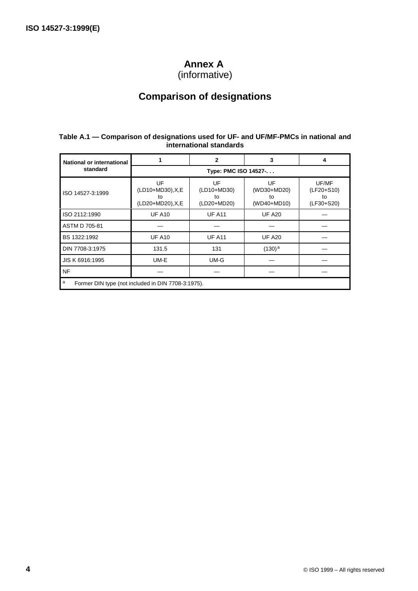## **Annex A**

(informative)

# **Comparison of designations**

#### **Table A.1 — Comparison of designations used for UF- and UF/MF-PMCs in national and international standards**

| <b>National or international</b>                        |                                                    | $\mathbf{2}$                           | 3                                      | 4                                         |  |  |  |  |
|---------------------------------------------------------|----------------------------------------------------|----------------------------------------|----------------------------------------|-------------------------------------------|--|--|--|--|
| standard                                                | Type: PMC ISO 14527-.                              |                                        |                                        |                                           |  |  |  |  |
| ISO 14527-3:1999                                        | UF<br>(LD10+MD30), X, E<br>to<br>(LD20+MD20), X, E | UF<br>(LD10+MD30)<br>to<br>(LD20+MD20) | UF<br>(WD30+MD20)<br>to<br>(WD40+MD10) | UF/MF<br>(LF20+S10)<br>to<br>$(LF30+S20)$ |  |  |  |  |
| ISO 2112:1990                                           | <b>UF A10</b>                                      | <b>UF A11</b>                          | <b>UF A20</b>                          |                                           |  |  |  |  |
| ASTM D 705-81                                           |                                                    |                                        |                                        |                                           |  |  |  |  |
| BS 1322:1992                                            | <b>UF A10</b>                                      | <b>UF A11</b>                          | <b>UF A20</b>                          |                                           |  |  |  |  |
| DIN 7708-3:1975                                         | 131.5                                              | 131                                    | $(130)^{a}$                            |                                           |  |  |  |  |
| JIS K 6916:1995                                         | UM-E                                               | UM-G                                   |                                        |                                           |  |  |  |  |
| <b>NF</b>                                               |                                                    |                                        |                                        |                                           |  |  |  |  |
| a<br>Former DIN type (not included in DIN 7708-3:1975). |                                                    |                                        |                                        |                                           |  |  |  |  |